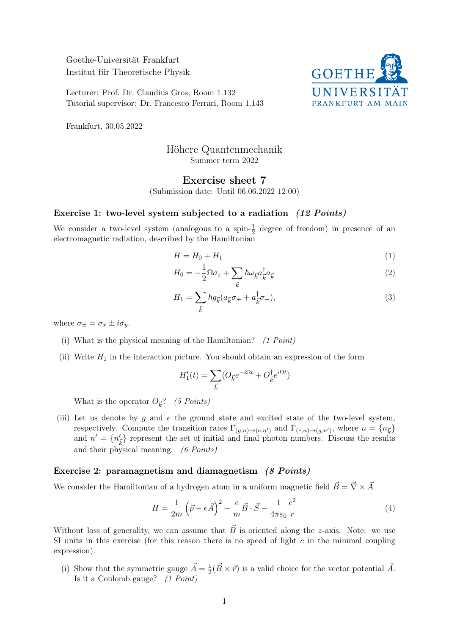Goethe-Universität Frankfurt Institut für Theoretische Physik

Lecturer: Prof. Dr. Claudius Gros, Room 1.132 Tutorial supervisor: Dr. Francesco Ferrari, Room 1.143



Frankfurt, 30.05.2022

## Höhere Quantenmechanik Summer term 2022

## Exercise sheet 7

(Submission date: Until 06.06.2022 12:00)

## Exercise 1: two-level system subjected to a radiation (12 Points)

We consider a two-level system (analogous to a spin- $\frac{1}{2}$  degree of freedom) in presence of an electromagnetic radiation, described by the Hamiltonian

$$
H = H_0 + H_1 \tag{1}
$$

$$
H_0 = -\frac{1}{2}\Omega\sigma_z + \sum_{\vec{k}} \hbar \omega_{\vec{k}} a_{\vec{k}}^\dagger a_{\vec{k}} \tag{2}
$$

$$
H_1 = \sum_{\vec{k}} \hbar g_{\vec{k}} (a_{\vec{k}} \sigma_+ + a_{\vec{k}}^{\dagger} \sigma_-), \tag{3}
$$

where  $\sigma_{\pm} = \sigma_x \pm i \sigma_y$ .

- (i) What is the physical meaning of the Hamiltonian?  $(1 Point)$
- (ii) Write  $H_1$  in the interaction picture. You should obtain an expression of the form

$$
H_1'(t) = \sum_{\vec{k}} (O_{\vec{k}}e^{-i\Omega t} + O_{\vec{k}}^\dagger e^{i\Omega t})
$$

What is the operator  $O_{\vec{k}}$ ? (5 Points)

(iii) Let us denote by g and e the ground state and excited state of the two-level system, respectively. Compute the transition rates  $\Gamma_{(g,n)\to(e,n')}$  and  $\Gamma_{(e,n)\to(g,n')}$ , where  $n = \{n_{\vec{k}}\}$ and  $n' = \{n'_{\vec{k}}\}$  represent the set of initial and final photon numbers. Discuss the results and their physical meaning. (6 Points)

## Exercise 2: paramagnetism and diamagnetism (8 Points)

We consider the Hamiltonian of a hydrogen atom in a uniform magnetic field  $\vec{B} = \vec{\nabla} \times \vec{A}$ 

$$
H = \frac{1}{2m} \left(\vec{p} - e\vec{A}\right)^2 - \frac{e}{m} \vec{B} \cdot \vec{S} - \frac{1}{4\pi\varepsilon_0} \frac{e^2}{r}
$$
(4)

Without loss of generality, we can assume that  $\vec{B}$  is oriented along the z-axis. Note: we use SI units in this exercise (for this reason there is no speed of light  $c$  in the minimal coupling expression).

(i) Show that the symmetric gauge  $\vec{A} = \frac{1}{2}$  $\frac{1}{2}(\vec{B} \times \vec{r})$  is a valid choice for the vector potential  $\vec{A}$ . Is it a Coulomb gauge? (1 Point)